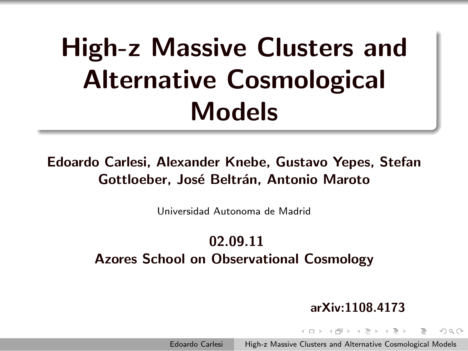# High-z Massive Clusters and Alternative Cosmological Models

#### Edoardo Carlesi, Alexander Knebe, Gustavo Yepes, Stefan Gottloeber, José Beltrán, Antonio Maroto

Universidad Autonoma de Madrid

### 02.09.11 Azores School on Observational Cosmology

#### arXiv:1108.4173

<span id="page-0-0"></span> $\Omega$ 

 $\left\{ \begin{array}{ccc} \square & \rightarrow & \left\{ \bigoplus \right\} & \rightarrow & \left\{ \begin{array}{ccc} \square & \rightarrow & \left\{ \end{array} \right\} \end{array} \right\}$ 

Edoardo Carlesi High-z Massive Clusters and Alternative Cosmological Models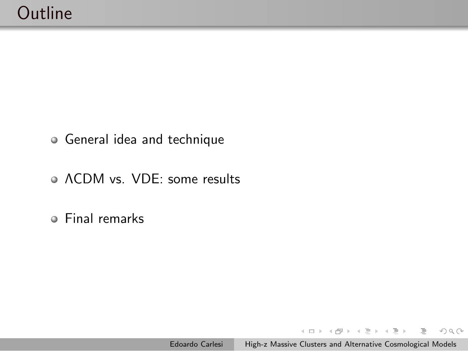- General idea and technique
- ΛCDM vs. VDE: some results
- Final remarks

 $\left\{ \begin{array}{ccc} 1 & 0 & 0 \\ 0 & 1 & 0 \end{array} \right. \times \left\{ \begin{array}{ccc} 0 & 0 & 0 \\ 0 & 0 & 0 \end{array} \right. \times \left\{ \begin{array}{ccc} 0 & 0 & 0 \\ 0 & 0 & 0 \end{array} \right. \times \left\{ \begin{array}{ccc} 0 & 0 & 0 \\ 0 & 0 & 0 \end{array} \right. \times \left\{ \begin{array}{ccc} 0 & 0 & 0 \\ 0 & 0 & 0 \end{array} \right. \times \left\{ \begin{array}{ccc} 0 & 0 & 0 \\ 0 & 0 & 0 \end$ 

 $OQ$ 

Ξ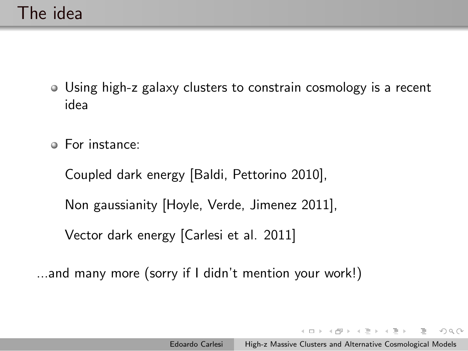- Using high-z galaxy clusters to constrain cosmology is a recent idea
- For instance:

Coupled dark energy [Baldi, Pettorino 2010],

Non gaussianity [Hoyle, Verde, Jimenez 2011],

Vector dark energy [Carlesi et al. 2011]

...and many more (sorry if I didn't mention your work!)

イロト イ押 トイヨ トイヨト

 $OQ$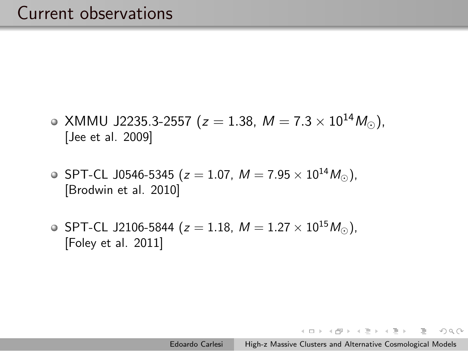### Current observations

- $\bullet$  XMMU J2235.3-2557 (z = 1.38, M = 7.3 × 10<sup>14</sup>M<sub>☉</sub>), [Jee et al. 2009]
- **SPT-CL J0546-5345 (** $z = 1.07$ **,**  $M = 7.95 \times 10^{14} M_{\odot}$ **),** [Brodwin et al. 2010]
- SPT-CL J2106-5844 ( $z = 1.18$ ,  $M = 1.27 \times 10^{15} M_{\odot}$ ), [Foley et al. 2011]

マローマ ミュマ ミュー

 $\equiv$ 

 $PQQ$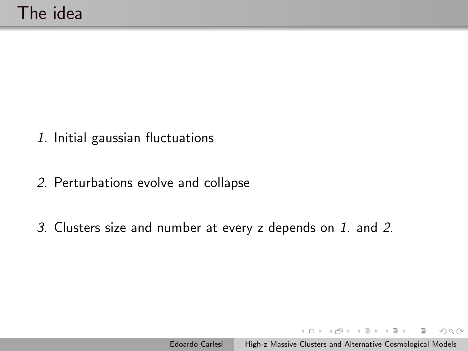- 1. Initial gaussian fluctuations
- 2. Perturbations evolve and collapse
- 3. Clusters size and number at every z depends on 1. and 2.

イロン イ押ン イヨン イヨン

 $OQ$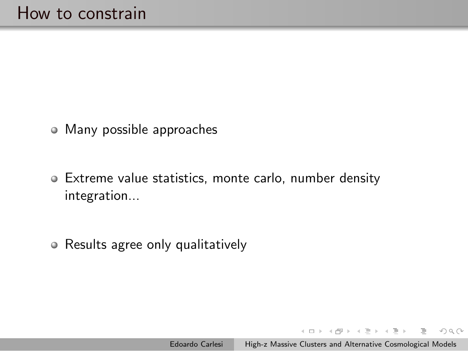- Many possible approaches
- Extreme value statistics, monte carlo, number density integration...
- Results agree only qualitatively

マ 何 ト マ ヨ ト マ ヨ ト

 $OQ$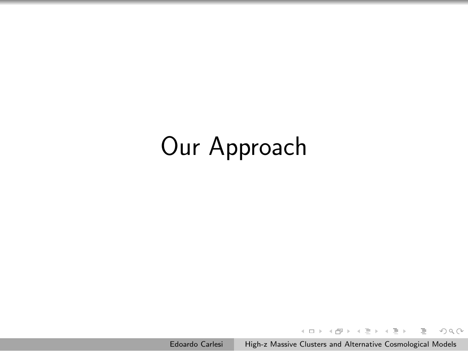# Our Approach

 $\leftarrow \Box \rightarrow$ Edoardo Carlesi [High-z Massive Clusters and Alternative Cosmological Models](#page-0-0)

 $\rightarrow \overline{m} \rightarrow \rightarrow \Xi \rightarrow$ 

 $\rightarrow \equiv$  >

 $OQ$ 

Ξ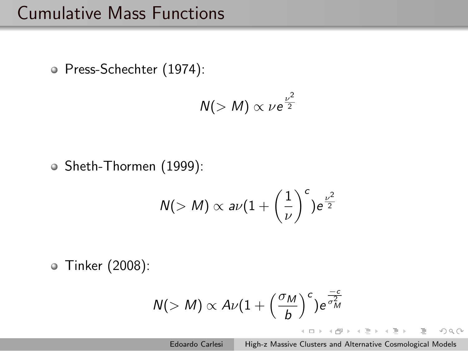## Cumulative Mass Functions

Press-Schechter (1974):

$$
N(>M) \propto \nu e^{\frac{\nu^2}{2}}
$$

Sheth-Thormen (1999):

$$
\mathit{N}(>M) \propto a\nu \big(1+\left(\frac{1}{\nu}\right)^c\big)e^{\frac{\nu^2}{2}}
$$

Tinker (2008):

$$
N(>M) \propto A\nu \big(1+\left(\frac{\sigma_M}{b}\right)^c\big)e^{\frac{-c}{\sigma_M^2}}
$$

Edoardo Carlesi [High-z Massive Clusters and Alternative Cosmological Models](#page-0-0)

イロン イ押ン イヨン イヨン

 $OQ$ 

Ξ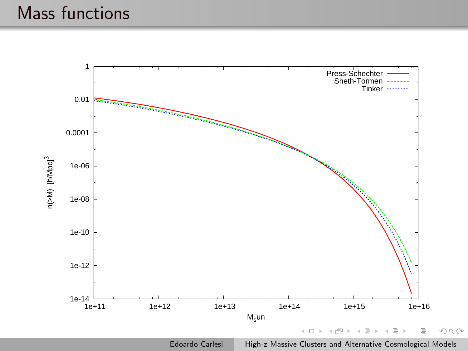### Mass functions

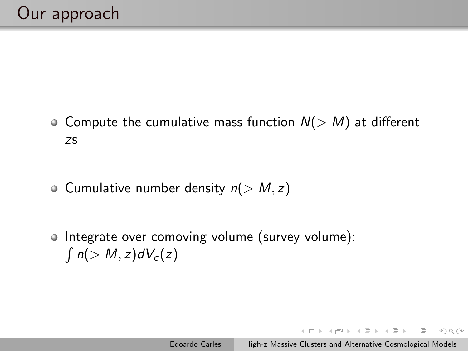- Compute the cumulative mass function  $N(> M)$  at different zs
- $\circ$  Cumulative number density  $n(> M, z)$
- Integrate over comoving volume (survey volume):  $\int n(> M, z)dV_c(z)$

イロト イ母 トイヨ トイヨト

 $OQ$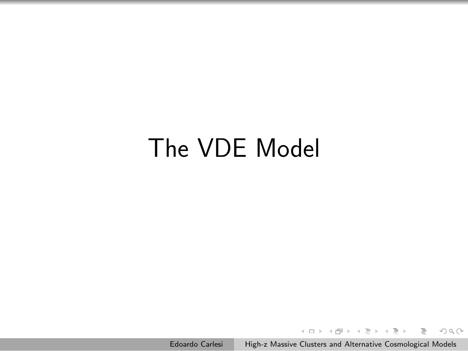# The VDE Model

Edoardo Carlesi [High-z Massive Clusters and Alternative Cosmological Models](#page-0-0)

イロト イ押ト イヨト イヨ

 $QQQ$ 

 $\mathbf{b}$ Ξ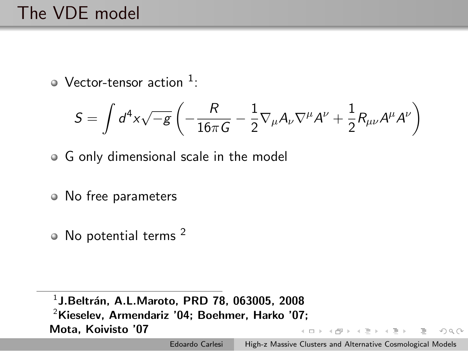## The VDE model

Vector-tensor action  $1$ :

$$
S=\int d^4x\sqrt{-g}\left(-\frac{R}{16\pi G}-\frac{1}{2}\nabla_\mu A_\nu\nabla^\mu A^\nu+\frac{1}{2}R_{\mu\nu}A^\mu A^\nu\right)
$$

- G only dimensional scale in the model
- No free parameters
- No potential terms<sup>2</sup>

 $^1$ J.Beltrán, A.L.Maroto, PRD 78, 063005, 2008  $2$ Kieselev, Armendariz '04; Boehmer, Harko '07; Mota, Koivisto '07

 $\mathcal{A} = \{ \mathbf{0}, \mathbf{0}, \mathbf{0}, \mathbf{0}, \mathbf{0}, \mathbf{0}, \mathbf{0}, \mathbf{0}, \mathbf{0}, \mathbf{0}, \mathbf{0}, \mathbf{0}, \mathbf{0}, \mathbf{0}, \mathbf{0}, \mathbf{0}, \mathbf{0}, \mathbf{0}, \mathbf{0}, \mathbf{0}, \mathbf{0}, \mathbf{0}, \mathbf{0}, \mathbf{0}, \mathbf{0}, \mathbf{0}, \mathbf{0}, \mathbf{0}, \mathbf{0}, \mathbf{0}, \mathbf{0}, \mathbf{0}, \mathbf{0}, \mathbf{0}, \mathbf{0}, \$ 

 $OQ$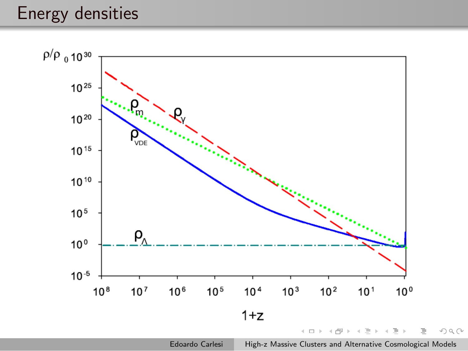### Energy densities



Edoardo Carlesi [High-z Massive Clusters and Alternative Cosmological Models](#page-0-0)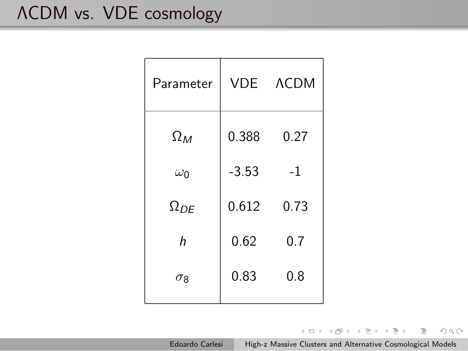# ΛCDM vs. VDE cosmology

| Parameter     | VDE     | <b>ACDM</b> |  |
|---------------|---------|-------------|--|
| $\Omega_M$    | 0.388   | 0.27        |  |
| $\omega_0$    | $-3.53$ | $-1$        |  |
| $\Omega_{DE}$ | 0.612   | 0.73        |  |
| h             | 0.62    | 0.7         |  |
| $\sigma_8$    | 0.83    | 0.8         |  |
|               |         |             |  |

イロト イ部 トイモト イモト  $\equiv$ 

Edoardo Carlesi [High-z Massive Clusters and Alternative Cosmological Models](#page-0-0)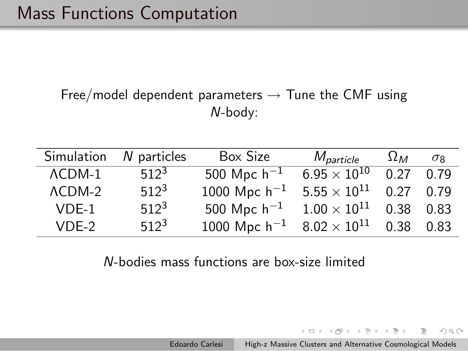### Free/model dependent parameters  $\rightarrow$  Tune the CMF using N-body:

| Simulation      | N particles | Box Size          | M <sub>particle</sub> | $\Omega_M$ | $\sigma$ <sub>R</sub> |
|-----------------|-------------|-------------------|-----------------------|------------|-----------------------|
| $\Lambda$ CDM-1 | $512^3$     | 500 Mpc $h^{-1}$  | $6.95\times10^{10}$   | 0.27       | 0.79                  |
| $\Lambda$ CDM-2 | $512^3$     | 1000 Mpc $h^{-1}$ | $5.55\times10^{11}$   | 0.27       | 0.79                  |
| $VDE-1$         | $512^3$     | 500 Mpc $h^{-1}$  | $1.00\times10^{11}$   | 0.38       | 0.83                  |
| $VDE-2$         | $512^3$     | 1000 Mpc $h^{-1}$ | $8.02\times10^{11}$   | 0.38       | 0.83                  |

#### N-bodies mass functions are box-size limited

イロト イ母 トイラ トイラト

 $OQ$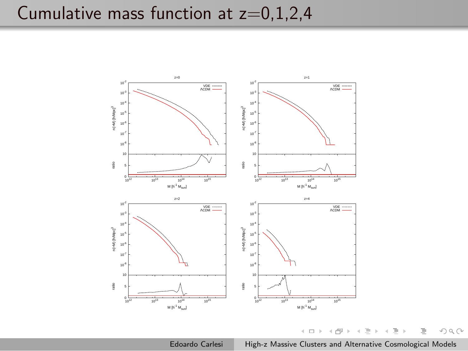## Cumulative mass function at  $z=0,1,2,4$



 $\mathbb{R}$ Edoardo Carlesi [High-z Massive Clusters and Alternative Cosmological Models](#page-0-0)

同  $\mathbf{b}$ Ξ  $\equiv$ 

 $\mathbf{b}$ Ξ  $OQ$ 

 $\leftarrow \Box$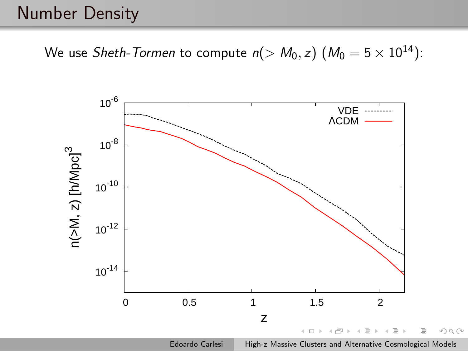### Number Density

We use Sheth-Tormen to compute  $n(> M_0, z)$   $(M_0 = 5 \times 10^{14})$ :

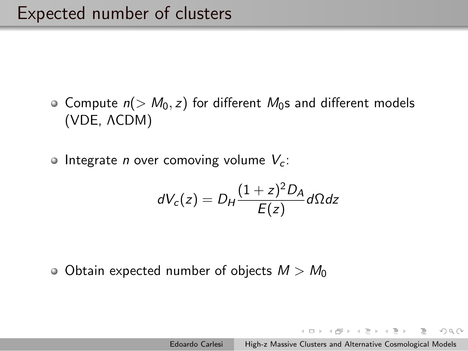- Compute  $n(> M_0, z)$  for different  $M_0$ s and different models (VDE, ΛCDM)
- $\bullet$  Integrate *n* over comoving volume  $V_c$ :

$$
dV_c(z) = D_H \frac{(1+z)^2 D_A}{E(z)} d\Omega dz
$$

• Obtain expected number of objects  $M > M_0$ 

イロト イ押 トイヨ トイヨト

 $OQ$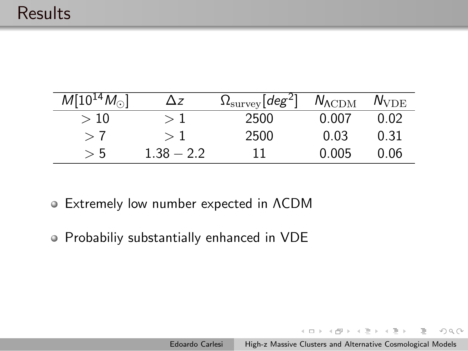| $M[10^{14}M_{\odot}]$ | /\ z         | $\Omega_{\text{survey}}[deg^2]$ | $N_{\Lambda\rm CDM}$ | $N_{\rm VDE}$ |
|-----------------------|--------------|---------------------------------|----------------------|---------------|
| $>10\,$               | >1           | 2500                            | 0.007                | 0.02          |
| $\gt$ (               |              | 2500                            | 0.03                 | 0.31          |
| > 5                   | $1.38 - 2.2$ | 11                              | 0.005                | 0.06          |

- Extremely low number expected in ΛCDM
- Probabiliy substantially enhanced in VDE

イロト イ部ト イミト イモト

 $OQ$